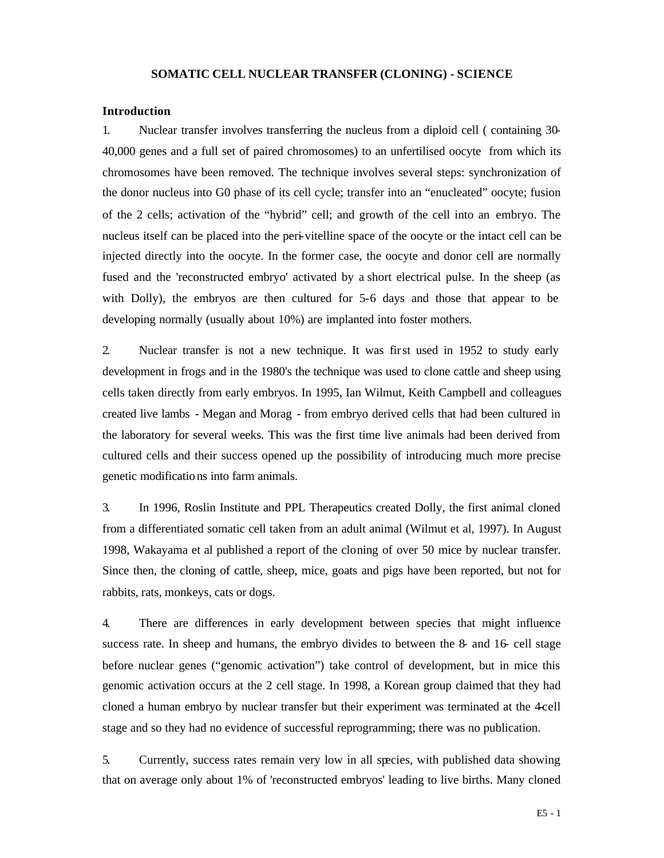### **SOMATIC CELL NUCLEAR TRANSFER (CLONING) - SCIENCE**

#### **Introduction**

1. Nuclear transfer involves transferring the nucleus from a diploid cell ( containing 30- 40,000 genes and a full set of paired chromosomes) to an unfertilised oocyte from which its chromosomes have been removed. The technique involves several steps: synchronization of the donor nucleus into G0 phase of its cell cycle; transfer into an "enucleated" oocyte; fusion of the 2 cells; activation of the "hybrid" cell; and growth of the cell into an embryo. The nucleus itself can be placed into the peri-vitelline space of the oocyte or the intact cell can be injected directly into the oocyte. In the former case, the oocyte and donor cell are normally fused and the 'reconstructed embryo' activated by a short electrical pulse. In the sheep (as with Dolly), the embryos are then cultured for 5-6 days and those that appear to be developing normally (usually about 10%) are implanted into foster mothers.

2. Nuclear transfer is not a new technique. It was first used in 1952 to study early development in frogs and in the 1980's the technique was used to clone cattle and sheep using cells taken directly from early embryos. In 1995, Ian Wilmut, Keith Campbell and colleagues created live lambs - Megan and Morag - from embryo derived cells that had been cultured in the laboratory for several weeks. This was the first time live animals had been derived from cultured cells and their success opened up the possibility of introducing much more precise genetic modifications into farm animals.

3. In 1996, Roslin Institute and PPL Therapeutics created Dolly, the first animal cloned from a differentiated somatic cell taken from an adult animal (Wilmut et al, 1997). In August 1998, Wakayama et al published a report of the cloning of over 50 mice by nuclear transfer. Since then, the cloning of cattle, sheep, mice, goats and pigs have been reported, but not for rabbits, rats, monkeys, cats or dogs.

4. There are differences in early development between species that might influence success rate. In sheep and humans, the embryo divides to between the 8- and 16- cell stage before nuclear genes ("genomic activation") take control of development, but in mice this genomic activation occurs at the 2 cell stage. In 1998, a Korean group claimed that they had cloned a human embryo by nuclear transfer but their experiment was terminated at the 4-cell stage and so they had no evidence of successful reprogramming; there was no publication.

5. Currently, success rates remain very low in all species, with published data showing that on average only about 1% of 'reconstructed embryos' leading to live births. Many cloned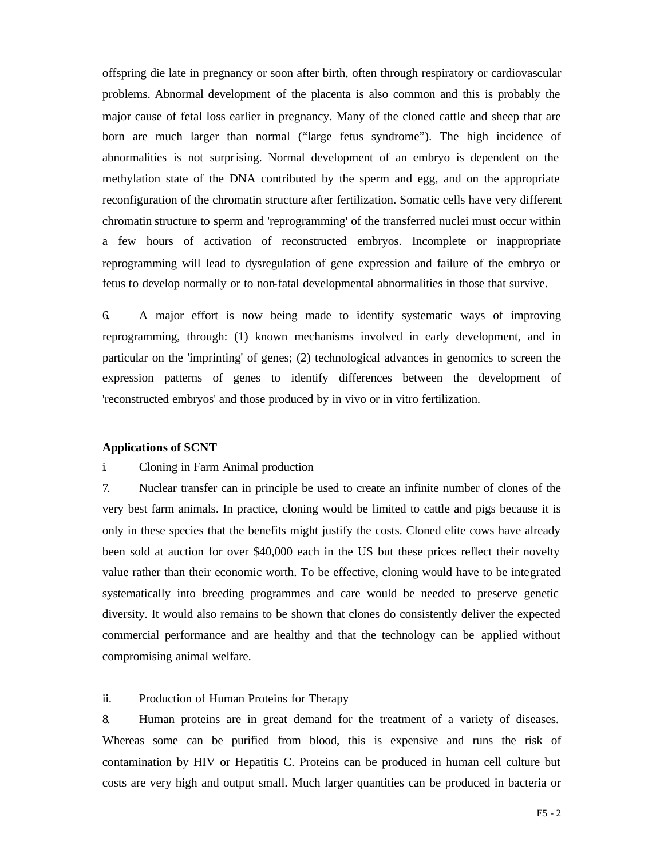offspring die late in pregnancy or soon after birth, often through respiratory or cardiovascular problems. Abnormal development of the placenta is also common and this is probably the major cause of fetal loss earlier in pregnancy. Many of the cloned cattle and sheep that are born are much larger than normal ("large fetus syndrome"). The high incidence of abnormalities is not surprising. Normal development of an embryo is dependent on the methylation state of the DNA contributed by the sperm and egg, and on the appropriate reconfiguration of the chromatin structure after fertilization. Somatic cells have very different chromatin structure to sperm and 'reprogramming' of the transferred nuclei must occur within a few hours of activation of reconstructed embryos. Incomplete or inappropriate reprogramming will lead to dysregulation of gene expression and failure of the embryo or fetus to develop normally or to non-fatal developmental abnormalities in those that survive.

6. A major effort is now being made to identify systematic ways of improving reprogramming, through: (1) known mechanisms involved in early development, and in particular on the 'imprinting' of genes; (2) technological advances in genomics to screen the expression patterns of genes to identify differences between the development of 'reconstructed embryos' and those produced by in vivo or in vitro fertilization.

### **Applications of SCNT**

# i. Cloning in Farm Animal production

7. Nuclear transfer can in principle be used to create an infinite number of clones of the very best farm animals. In practice, cloning would be limited to cattle and pigs because it is only in these species that the benefits might justify the costs. Cloned elite cows have already been sold at auction for over \$40,000 each in the US but these prices reflect their novelty value rather than their economic worth. To be effective, cloning would have to be integrated systematically into breeding programmes and care would be needed to preserve genetic diversity. It would also remains to be shown that clones do consistently deliver the expected commercial performance and are healthy and that the technology can be applied without compromising animal welfare.

# ii. Production of Human Proteins for Therapy

8. Human proteins are in great demand for the treatment of a variety of diseases. Whereas some can be purified from blood, this is expensive and runs the risk of contamination by HIV or Hepatitis C. Proteins can be produced in human cell culture but costs are very high and output small. Much larger quantities can be produced in bacteria or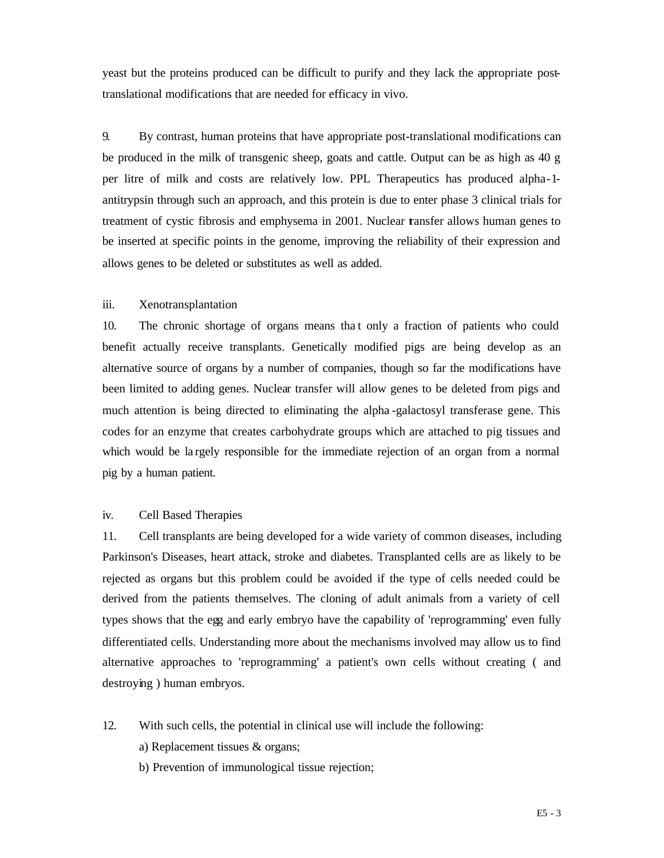yeast but the proteins produced can be difficult to purify and they lack the appropriate posttranslational modifications that are needed for efficacy in vivo.

9. By contrast, human proteins that have appropriate post-translational modifications can be produced in the milk of transgenic sheep, goats and cattle. Output can be as high as 40 g per litre of milk and costs are relatively low. PPL Therapeutics has produced alpha-1 antitrypsin through such an approach, and this protein is due to enter phase 3 clinical trials for treatment of cystic fibrosis and emphysema in 2001. Nuclear transfer allows human genes to be inserted at specific points in the genome, improving the reliability of their expression and allows genes to be deleted or substitutes as well as added.

# iii. Xenotransplantation

10. The chronic shortage of organs means tha t only a fraction of patients who could benefit actually receive transplants. Genetically modified pigs are being develop as an alternative source of organs by a number of companies, though so far the modifications have been limited to adding genes. Nuclear transfer will allow genes to be deleted from pigs and much attention is being directed to eliminating the alpha -galactosyl transferase gene. This codes for an enzyme that creates carbohydrate groups which are attached to pig tissues and which would be la rgely responsible for the immediate rejection of an organ from a normal pig by a human patient.

# iv. Cell Based Therapies

11. Cell transplants are being developed for a wide variety of common diseases, including Parkinson's Diseases, heart attack, stroke and diabetes. Transplanted cells are as likely to be rejected as organs but this problem could be avoided if the type of cells needed could be derived from the patients themselves. The cloning of adult animals from a variety of cell types shows that the egg and early embryo have the capability of 'reprogramming' even fully differentiated cells. Understanding more about the mechanisms involved may allow us to find alternative approaches to 'reprogramming' a patient's own cells without creating ( and destroying ) human embryos.

- 12. With such cells, the potential in clinical use will include the following:
	- a) Replacement tissues & organs;
	- b) Prevention of immunological tissue rejection;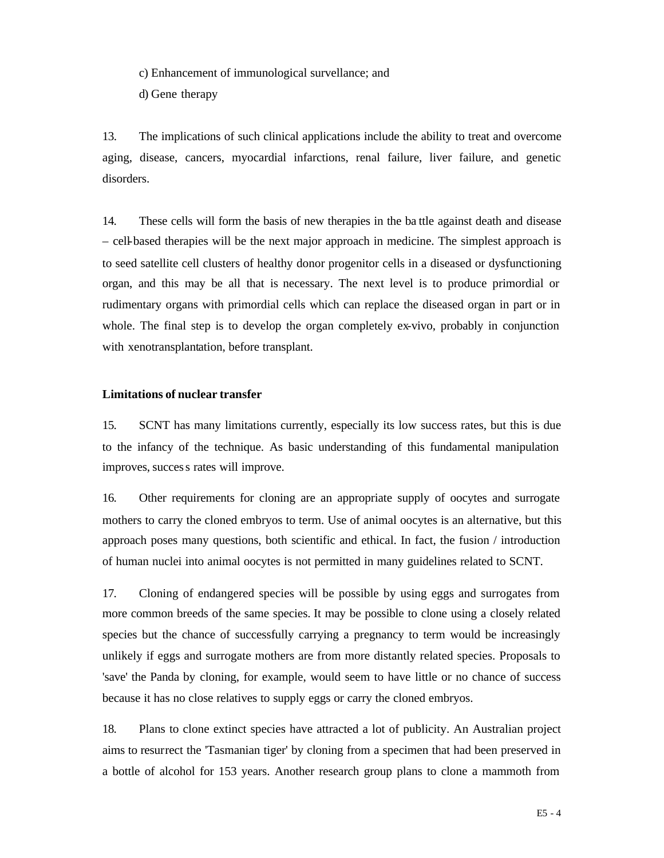c) Enhancement of immunological survellance; and

d) Gene therapy

13. The implications of such clinical applications include the ability to treat and overcome aging, disease, cancers, myocardial infarctions, renal failure, liver failure, and genetic disorders.

14. These cells will form the basis of new therapies in the ba ttle against death and disease – cell-based therapies will be the next major approach in medicine. The simplest approach is to seed satellite cell clusters of healthy donor progenitor cells in a diseased or dysfunctioning organ, and this may be all that is necessary. The next level is to produce primordial or rudimentary organs with primordial cells which can replace the diseased organ in part or in whole. The final step is to develop the organ completely ex-vivo, probably in conjunction with xenotransplantation, before transplant.

### **Limitations of nuclear transfer**

15. SCNT has many limitations currently, especially its low success rates, but this is due to the infancy of the technique. As basic understanding of this fundamental manipulation improves, success rates will improve.

16. Other requirements for cloning are an appropriate supply of oocytes and surrogate mothers to carry the cloned embryos to term. Use of animal oocytes is an alternative, but this approach poses many questions, both scientific and ethical. In fact, the fusion / introduction of human nuclei into animal oocytes is not permitted in many guidelines related to SCNT.

17. Cloning of endangered species will be possible by using eggs and surrogates from more common breeds of the same species. It may be possible to clone using a closely related species but the chance of successfully carrying a pregnancy to term would be increasingly unlikely if eggs and surrogate mothers are from more distantly related species. Proposals to 'save' the Panda by cloning, for example, would seem to have little or no chance of success because it has no close relatives to supply eggs or carry the cloned embryos.

18. Plans to clone extinct species have attracted a lot of publicity. An Australian project aims to resurrect the 'Tasmanian tiger' by cloning from a specimen that had been preserved in a bottle of alcohol for 153 years. Another research group plans to clone a mammoth from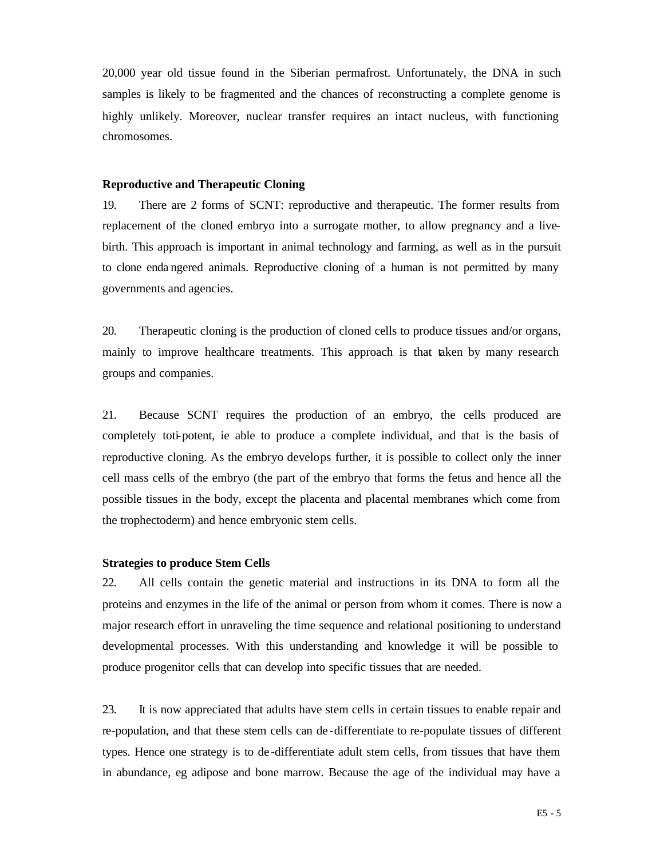20,000 year old tissue found in the Siberian permafrost. Unfortunately, the DNA in such samples is likely to be fragmented and the chances of reconstructing a complete genome is highly unlikely. Moreover, nuclear transfer requires an intact nucleus, with functioning chromosomes.

# **Reproductive and Therapeutic Cloning**

19. There are 2 forms of SCNT: reproductive and therapeutic. The former results from replacement of the cloned embryo into a surrogate mother, to allow pregnancy and a livebirth. This approach is important in animal technology and farming, as well as in the pursuit to clone enda ngered animals. Reproductive cloning of a human is not permitted by many governments and agencies.

20. Therapeutic cloning is the production of cloned cells to produce tissues and/or organs, mainly to improve healthcare treatments. This approach is that taken by many research groups and companies.

21. Because SCNT requires the production of an embryo, the cells produced are completely toti-potent, ie able to produce a complete individual, and that is the basis of reproductive cloning. As the embryo develops further, it is possible to collect only the inner cell mass cells of the embryo (the part of the embryo that forms the fetus and hence all the possible tissues in the body, except the placenta and placental membranes which come from the trophectoderm) and hence embryonic stem cells.

#### **Strategies to produce Stem Cells**

22. All cells contain the genetic material and instructions in its DNA to form all the proteins and enzymes in the life of the animal or person from whom it comes. There is now a major research effort in unraveling the time sequence and relational positioning to understand developmental processes. With this understanding and knowledge it will be possible to produce progenitor cells that can develop into specific tissues that are needed.

23. It is now appreciated that adults have stem cells in certain tissues to enable repair and re-population, and that these stem cells can de -differentiate to re-populate tissues of different types. Hence one strategy is to de -differentiate adult stem cells, from tissues that have them in abundance, eg adipose and bone marrow. Because the age of the individual may have a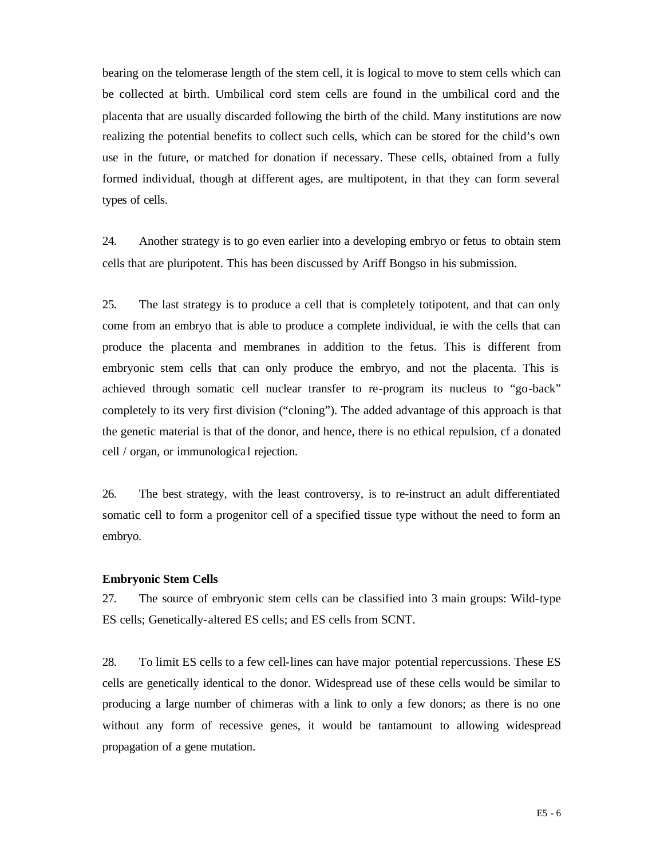bearing on the telomerase length of the stem cell, it is logical to move to stem cells which can be collected at birth. Umbilical cord stem cells are found in the umbilical cord and the placenta that are usually discarded following the birth of the child. Many institutions are now realizing the potential benefits to collect such cells, which can be stored for the child's own use in the future, or matched for donation if necessary. These cells, obtained from a fully formed individual, though at different ages, are multipotent, in that they can form several types of cells.

24. Another strategy is to go even earlier into a developing embryo or fetus to obtain stem cells that are pluripotent. This has been discussed by Ariff Bongso in his submission.

25. The last strategy is to produce a cell that is completely totipotent, and that can only come from an embryo that is able to produce a complete individual, ie with the cells that can produce the placenta and membranes in addition to the fetus. This is different from embryonic stem cells that can only produce the embryo, and not the placenta. This is achieved through somatic cell nuclear transfer to re-program its nucleus to "go-back" completely to its very first division ("cloning"). The added advantage of this approach is that the genetic material is that of the donor, and hence, there is no ethical repulsion, cf a donated cell / organ, or immunologica l rejection.

26. The best strategy, with the least controversy, is to re-instruct an adult differentiated somatic cell to form a progenitor cell of a specified tissue type without the need to form an embryo.

### **Embryonic Stem Cells**

27. The source of embryonic stem cells can be classified into 3 main groups: Wild-type ES cells; Genetically-altered ES cells; and ES cells from SCNT.

28. To limit ES cells to a few cell-lines can have major potential repercussions. These ES cells are genetically identical to the donor. Widespread use of these cells would be similar to producing a large number of chimeras with a link to only a few donors; as there is no one without any form of recessive genes, it would be tantamount to allowing widespread propagation of a gene mutation.